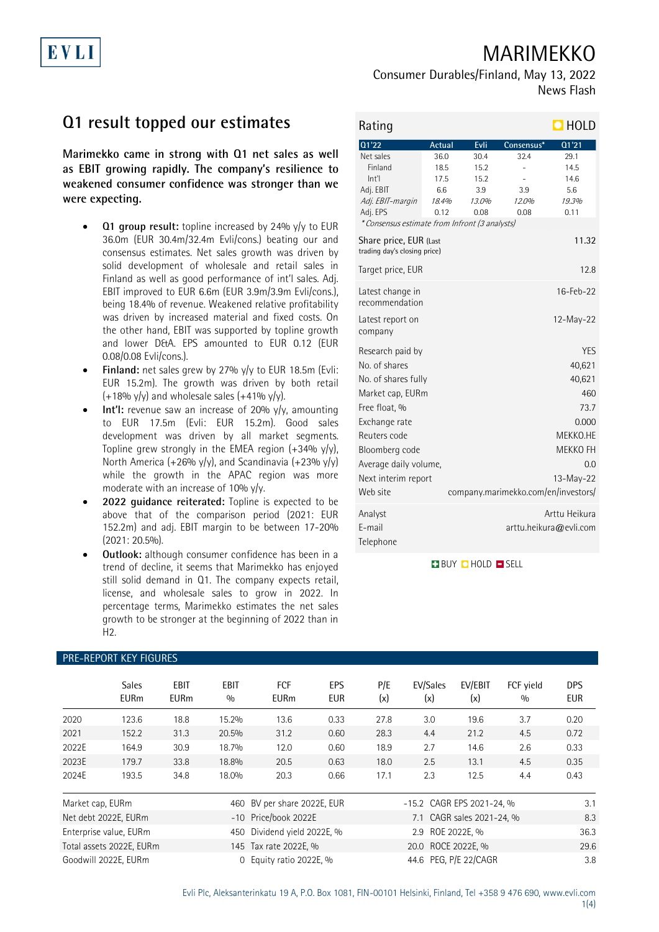## MARIMEKKO

# EVLI

Consumer Durables/Finland, May 13, 2022 News Flash

### **Q1 result topped our estimates**

**Marimekko came in strong with Q1 net sales as well as EBIT growing rapidly. The company's resilience to weakened consumer confidence was stronger than we were expecting.**

- **Q1 group result:** topline increased by 24% y/y to EUR 36.0m (EUR 30.4m/32.4m Evli/cons.) beating our and consensus estimates. Net sales growth was driven by solid development of wholesale and retail sales in Finland as well as good performance of int'l sales. Adj. EBIT improved to EUR 6.6m (EUR 3.9m/3.9m Evli/cons.), being 18.4% of revenue. Weakened relative profitability was driven by increased material and fixed costs. On the other hand, EBIT was supported by topline growth and lower D&A. EPS amounted to EUR 0.12 (EUR 0.08/0.08 Evli/cons.).
- **Finland:** net sales grew by 27% y/y to EUR 18.5m (Evli: EUR 15.2m). The growth was driven by both retail  $(+18\% \text{ y/y})$  and wholesale sales  $(+41\% \text{ y/y})$ .
- **Int'l:** revenue saw an increase of 20% y/y, amounting to EUR 17.5m (Evli: EUR 15.2m). Good sales development was driven by all market segments. Topline grew strongly in the EMEA region  $(+34\% \text{ y/y})$ , North America (+26% y/y), and Scandinavia (+23% y/y) while the growth in the APAC region was more moderate with an increase of 10% y/y.
- **2022 guidance reiterated:** Topline is expected to be above that of the comparison period (2021: EUR 152.2m) and adj. EBIT margin to be between 17-20% (2021: 20.5%).
- **Outlook:** although consumer confidence has been in a trend of decline, it seems that Marimekko has enjoyed still solid demand in Q1. The company expects retail, license, and wholesale sales to grow in 2022. In percentage terms, Marimekko estimates the net sales growth to be stronger at the beginning of 2022 than in  $H2$ .

| Rating                                                 |               |               |                                     | $\blacksquare$ HOLD                     |
|--------------------------------------------------------|---------------|---------------|-------------------------------------|-----------------------------------------|
| 01'22                                                  | Actual        | Evli          | Consensus*                          | Q1'21                                   |
| Net sales                                              | 36.0          | 30.4          | 32.4                                | 29.1                                    |
| Finland                                                | 18.5          | 15.2          | L,                                  | 14.5                                    |
| Int                                                    | 17.5          | 15.2          |                                     | 14.6                                    |
| Adj. EBIT                                              | 6.6           | 3.9           | 3.9                                 | 5.6                                     |
| Adj. EBIT-margin<br>Adj. EPS                           | 18.4%<br>0.12 | 13.0%<br>0.08 | 12.0%<br>0.08                       | 19.3%<br>0.11                           |
| * Consensus estimate from Infront (3 analysts)         |               |               |                                     |                                         |
| Share price, EUR (Last<br>trading day's closing price) |               |               |                                     | 11.32                                   |
| Target price, EUR                                      |               |               |                                     | 12.8                                    |
| Latest change in<br>recommendation                     |               |               |                                     | 16-Feb-22                               |
| Latest report on<br>company                            |               |               |                                     | $12-May-22$                             |
| Research paid by                                       |               |               |                                     | <b>YES</b>                              |
| No. of shares                                          |               |               |                                     | 40,621                                  |
| No. of shares fully                                    |               |               |                                     | 40,621                                  |
| Market cap, EURm                                       |               |               |                                     | 460                                     |
| Free float, %                                          |               |               |                                     | 73.7                                    |
| Exchange rate                                          |               |               |                                     | 0.000                                   |
| Reuters code                                           |               |               |                                     | MEKKO.HE                                |
|                                                        |               |               |                                     | MEKKO FH                                |
| Bloomberg code                                         |               |               |                                     |                                         |
| Average daily volume,                                  |               |               |                                     | 0.0                                     |
| Next interim report                                    |               |               |                                     | $13-May-22$                             |
| Web site                                               |               |               | company.marimekko.com/en/investors/ |                                         |
| Analyst<br>F-mail<br>Telephone                         |               |               |                                     | Arttu Heikura<br>arttu.heikura@evli.com |

**BUY Q HOLD O SELL** 

| <b>PRE-REPORT KEY FIGURES</b> |                             |                     |             |                             |                   |            |                           |                           |                  |                          |
|-------------------------------|-----------------------------|---------------------|-------------|-----------------------------|-------------------|------------|---------------------------|---------------------------|------------------|--------------------------|
|                               | <b>Sales</b><br><b>EURm</b> | EBIT<br><b>EURm</b> | EBIT<br>0/0 | <b>FCF</b><br><b>EURm</b>   | EPS<br><b>EUR</b> | P/E<br>(x) | EV/Sales<br>(x)           | EV/EBIT<br>(x)            | FCF yield<br>0/0 | <b>DPS</b><br><b>EUR</b> |
| 2020                          | 123.6                       | 18.8                | 15.2%       | 13.6                        | 0.33              | 27.8       | 3.0                       | 19.6                      | 3.7              | 0.20                     |
| 2021                          | 152.2                       | 31.3                | 20.5%       | 31.2                        | 0.60              | 28.3       | 4.4                       | 21.2                      | 4.5              | 0.72                     |
| 2022E                         | 164.9                       | 30.9                | 18.7%       | 12.0                        | 0.60              | 18.9       | 2.7                       | 14.6                      | 2.6              | 0.33                     |
| 2023E                         | 179.7                       | 33.8                | 18.8%       | 20.5                        | 0.63              | 18.0       | 2.5                       | 13.1                      | 4.5              | 0.35                     |
| 2024E                         | 193.5                       | 34.8                | 18.0%       | 20.3                        | 0.66              | 17.1       | 2.3                       | 12.5                      | 4.4              | 0.43                     |
| Market cap, EURm              |                             |                     |             | 460 BV per share 2022E, EUR |                   |            | -15.2 CAGR EPS 2021-24, % |                           |                  | 3.1                      |
|                               | Net debt 2022E, EURm        |                     |             | -10 Price/book 2022E        |                   |            |                           | 7.1 CAGR sales 2021-24, % |                  | 8.3                      |
|                               | Enterprise value, EURm      |                     | 450         | Dividend yield 2022E, %     |                   |            | 2.9 ROE 2022E, %          |                           |                  | 36.3                     |
|                               | Total assets 2022E, EURm    |                     |             | 145 Tax rate 2022E, %       |                   |            | 20.0 ROCE 2022E, %        |                           |                  | 29.6                     |
|                               | Goodwill 2022E, EURm        |                     | $\Omega$    | Equity ratio 2022E, %       |                   |            | 44.6 PEG, P/E 22/CAGR     |                           |                  | 3.8                      |

### PRE-REPORT KEY FIGURES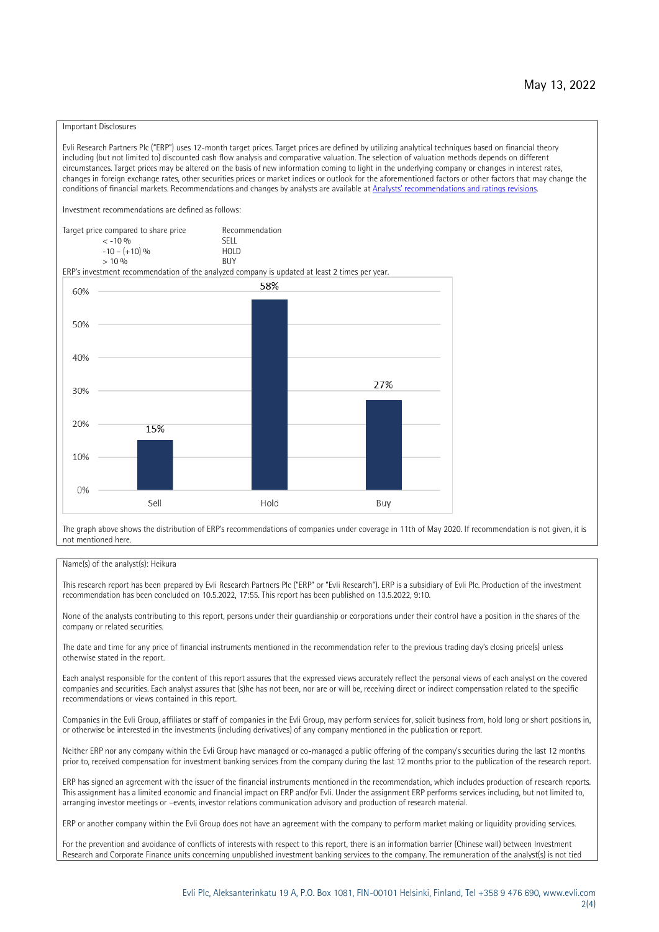#### Important Disclosures

Evli Research Partners Plc ("ERP") uses 12-month target prices. Target prices are defined by utilizing analytical techniques based on financial theory including (but not limited to) discounted cash flow analysis and comparative valuation. The selection of valuation methods depends on different circumstances. Target prices may be altered on the basis of new information coming to light in the underlying company or changes in interest rates, changes in foreign exchange rates, other securities prices or market indices or outlook for the aforementioned factors or other factors that may change the conditions of financial markets. Recommendations and changes by analysts are available at [Analysts' recommendations and ratings revisions](https://research.evli.com/JasperAllModels.action?authParam=key;461&authParam=x;G3rNagWrtf7K&authType=3). Investment recommendations are defined as follows: Target price compared to share price Recommendation<br> $\epsilon$  -10 %  $\langle 5, 10, 10 \rangle$  SELL<br>  $\langle -10, 6, 10 \rangle$  SELL<br>  $\langle 10, 10, 10 \rangle$  $-10 - (+10) \%$  HOLD<br>> 10 % BUY  $> 10\%$ ERP's investment recommendation of the analyzed company is updated at least 2 times per year. 58% 60% 50% 40% 27%  $30%$ 20% 15% 10%  $0%$ Sell Hold Buy

The graph above shows the distribution of ERP's recommendations of companies under coverage in 11th of May 2020. If recommendation is not given, it is not mentioned here.

#### Name(s) of the analyst(s): Heikura

This research report has been prepared by Evli Research Partners Plc ("ERP" or "Evli Research"). ERP is a subsidiary of Evli Plc. Production of the investment recommendation has been concluded on 10.5.2022, 17:55. This report has been published on 13.5.2022, 9:10.

None of the analysts contributing to this report, persons under their guardianship or corporations under their control have a position in the shares of the company or related securities.

The date and time for any price of financial instruments mentioned in the recommendation refer to the previous trading day's closing price(s) unless otherwise stated in the report.

Each analyst responsible for the content of this report assures that the expressed views accurately reflect the personal views of each analyst on the covered companies and securities. Each analyst assures that (s)he has not been, nor are or will be, receiving direct or indirect compensation related to the specific recommendations or views contained in this report.

Companies in the Evli Group, affiliates or staff of companies in the Evli Group, may perform services for, solicit business from, hold long or short positions in, or otherwise be interested in the investments (including derivatives) of any company mentioned in the publication or report.

Neither ERP nor any company within the Evli Group have managed or co-managed a public offering of the company's securities during the last 12 months prior to, received compensation for investment banking services from the company during the last 12 months prior to the publication of the research report.

ERP has signed an agreement with the issuer of the financial instruments mentioned in the recommendation, which includes production of research reports. This assignment has a limited economic and financial impact on ERP and/or Evli. Under the assignment ERP performs services including, but not limited to, arranging investor meetings or –events, investor relations communication advisory and production of research material.

ERP or another company within the Evli Group does not have an agreement with the company to perform market making or liquidity providing services.

For the prevention and avoidance of conflicts of interests with respect to this report, there is an information barrier (Chinese wall) between Investment Research and Corporate Finance units concerning unpublished investment banking services to the company. The remuneration of the analyst(s) is not tied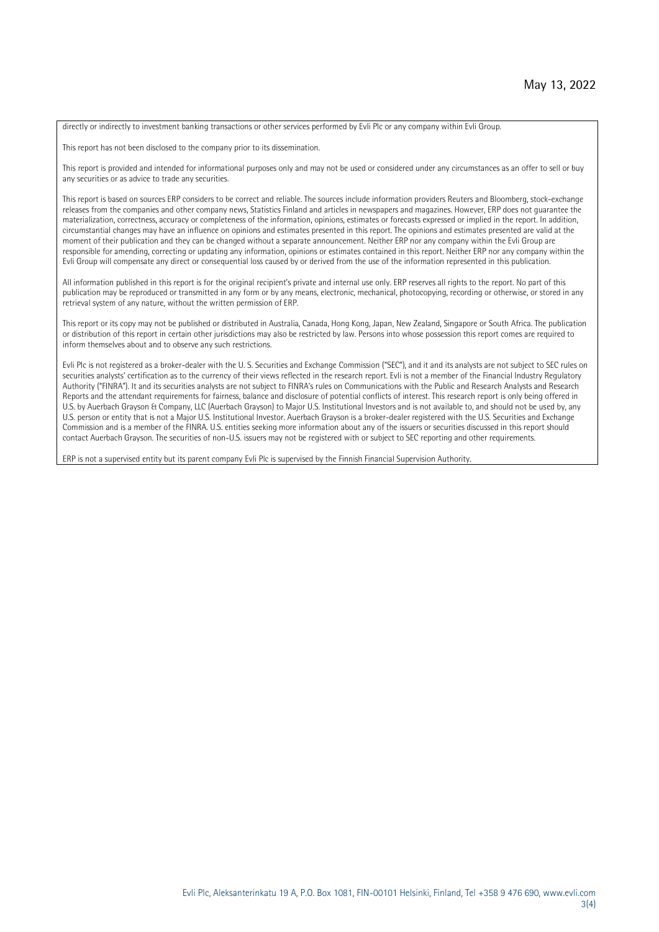directly or indirectly to investment banking transactions or other services performed by Evli Plc or any company within Evli Group.

This report has not been disclosed to the company prior to its dissemination.

This report is provided and intended for informational purposes only and may not be used or considered under any circumstances as an offer to sell or buy any securities or as advice to trade any securities.

This report is based on sources ERP considers to be correct and reliable. The sources include information providers Reuters and Bloomberg, stock-exchange releases from the companies and other company news, Statistics Finland and articles in newspapers and magazines. However, ERP does not guarantee the materialization, correctness, accuracy or completeness of the information, opinions, estimates or forecasts expressed or implied in the report. In addition, circumstantial changes may have an influence on opinions and estimates presented in this report. The opinions and estimates presented are valid at the moment of their publication and they can be changed without a separate announcement. Neither ERP nor any company within the Evli Group are responsible for amending, correcting or updating any information, opinions or estimates contained in this report. Neither ERP nor any company within the Evli Group will compensate any direct or consequential loss caused by or derived from the use of the information represented in this publication.

All information published in this report is for the original recipient's private and internal use only. ERP reserves all rights to the report. No part of this publication may be reproduced or transmitted in any form or by any means, electronic, mechanical, photocopying, recording or otherwise, or stored in any retrieval system of any nature, without the written permission of ERP.

This report or its copy may not be published or distributed in Australia, Canada, Hong Kong, Japan, New Zealand, Singapore or South Africa. The publication or distribution of this report in certain other jurisdictions may also be restricted by law. Persons into whose possession this report comes are required to inform themselves about and to observe any such restrictions.

Evli Plc is not registered as a broker-dealer with the U. S. Securities and Exchange Commission ("SEC"), and it and its analysts are not subject to SEC rules on securities analysts' certification as to the currency of their views reflected in the research report. Evli is not a member of the Financial Industry Regulatory Authority ("FINRA"). It and its securities analysts are not subject to FINRA's rules on Communications with the Public and Research Analysts and Research Reports and the attendant requirements for fairness, balance and disclosure of potential conflicts of interest. This research report is only being offered in U.S. by Auerbach Grayson & Company, LLC (Auerbach Grayson) to Major U.S. Institutional Investors and is not available to, and should not be used by, any U.S. person or entity that is not a Major U.S. Institutional Investor. Auerbach Grayson is a broker-dealer registered with the U.S. Securities and Exchange Commission and is a member of the FINRA. U.S. entities seeking more information about any of the issuers or securities discussed in this report should contact Auerbach Grayson. The securities of non-U.S. issuers may not be registered with or subject to SEC reporting and other requirements.

ERP is not a supervised entity but its parent company Evli Plc is supervised by the Finnish Financial Supervision Authority.